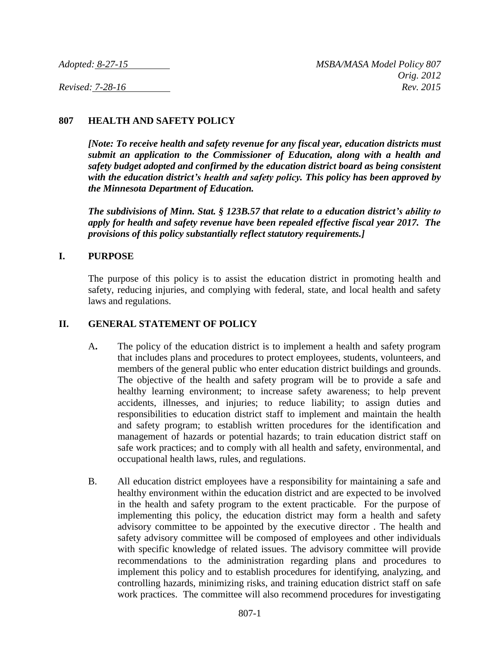# **807 HEALTH AND SAFETY POLICY**

*[Note: To receive health and safety revenue for any fiscal year, education districts must submit an application to the Commissioner of Education, along with a health and safety budget adopted and confirmed by the education district board as being consistent with the education district's health and safety policy. This policy has been approved by the Minnesota Department of Education.*

*The subdivisions of Minn. Stat. § 123B.57 that relate to a education district's ability to apply for health and safety revenue have been repealed effective fiscal year 2017. The provisions of this policy substantially reflect statutory requirements.]*

#### **I. PURPOSE**

The purpose of this policy is to assist the education district in promoting health and safety, reducing injuries, and complying with federal, state, and local health and safety laws and regulations.

### **II. GENERAL STATEMENT OF POLICY**

- A**.** The policy of the education district is to implement a health and safety program that includes plans and procedures to protect employees, students, volunteers, and members of the general public who enter education district buildings and grounds. The objective of the health and safety program will be to provide a safe and healthy learning environment; to increase safety awareness; to help prevent accidents, illnesses, and injuries; to reduce liability; to assign duties and responsibilities to education district staff to implement and maintain the health and safety program; to establish written procedures for the identification and management of hazards or potential hazards; to train education district staff on safe work practices; and to comply with all health and safety, environmental, and occupational health laws, rules, and regulations.
- B. All education district employees have a responsibility for maintaining a safe and healthy environment within the education district and are expected to be involved in the health and safety program to the extent practicable. For the purpose of implementing this policy, the education district may form a health and safety advisory committee to be appointed by the executive director . The health and safety advisory committee will be composed of employees and other individuals with specific knowledge of related issues. The advisory committee will provide recommendations to the administration regarding plans and procedures to implement this policy and to establish procedures for identifying, analyzing, and controlling hazards, minimizing risks, and training education district staff on safe work practices. The committee will also recommend procedures for investigating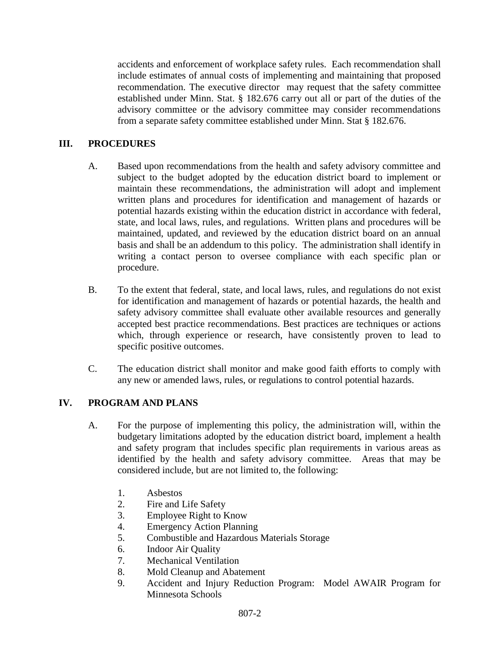accidents and enforcement of workplace safety rules. Each recommendation shall include estimates of annual costs of implementing and maintaining that proposed recommendation. The executive director may request that the safety committee established under Minn. Stat. § 182.676 carry out all or part of the duties of the advisory committee or the advisory committee may consider recommendations from a separate safety committee established under Minn. Stat § 182.676.

# **III. PROCEDURES**

- A. Based upon recommendations from the health and safety advisory committee and subject to the budget adopted by the education district board to implement or maintain these recommendations, the administration will adopt and implement written plans and procedures for identification and management of hazards or potential hazards existing within the education district in accordance with federal, state, and local laws, rules, and regulations. Written plans and procedures will be maintained, updated, and reviewed by the education district board on an annual basis and shall be an addendum to this policy. The administration shall identify in writing a contact person to oversee compliance with each specific plan or procedure.
- B. To the extent that federal, state, and local laws, rules, and regulations do not exist for identification and management of hazards or potential hazards, the health and safety advisory committee shall evaluate other available resources and generally accepted best practice recommendations. Best practices are techniques or actions which, through experience or research, have consistently proven to lead to specific positive outcomes.
- C. The education district shall monitor and make good faith efforts to comply with any new or amended laws, rules, or regulations to control potential hazards.

## **IV. PROGRAM AND PLANS**

- A. For the purpose of implementing this policy, the administration will, within the budgetary limitations adopted by the education district board, implement a health and safety program that includes specific plan requirements in various areas as identified by the health and safety advisory committee. Areas that may be considered include, but are not limited to, the following:
	- 1. Asbestos
	- 2. Fire and Life Safety
	- 3. Employee Right to Know
	- 4. Emergency Action Planning
	- 5. Combustible and Hazardous Materials Storage
	- 6. Indoor Air Quality
	- 7. Mechanical Ventilation
	- 8. Mold Cleanup and Abatement
	- 9. Accident and Injury Reduction Program: Model AWAIR Program for Minnesota Schools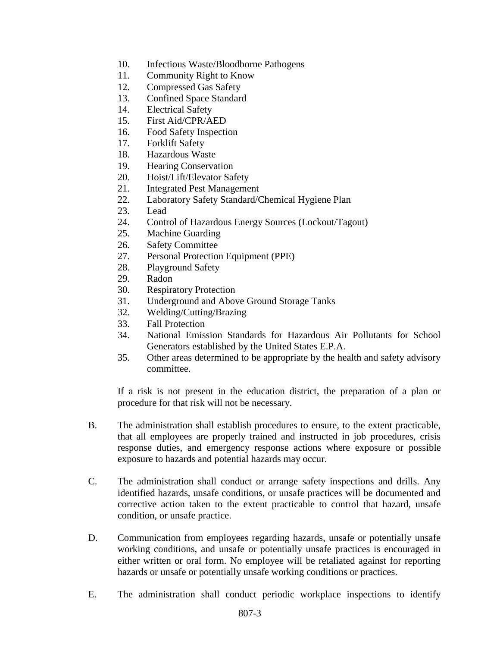- 10. Infectious Waste/Bloodborne Pathogens
- 11. Community Right to Know
- 12. Compressed Gas Safety
- 13. Confined Space Standard
- 14. Electrical Safety
- 15. First Aid/CPR/AED
- 16. Food Safety Inspection
- 17. Forklift Safety
- 18. Hazardous Waste
- 19. Hearing Conservation
- 20. Hoist/Lift/Elevator Safety
- 21. Integrated Pest Management
- 22. Laboratory Safety Standard/Chemical Hygiene Plan
- 23. Lead
- 24. Control of Hazardous Energy Sources (Lockout/Tagout)
- 25. Machine Guarding
- 26. Safety Committee
- 27. Personal Protection Equipment (PPE)
- 28. Playground Safety
- 29. Radon
- 30. Respiratory Protection
- 31. Underground and Above Ground Storage Tanks
- 32. Welding/Cutting/Brazing
- 33. Fall Protection
- 34. National Emission Standards for Hazardous Air Pollutants for School Generators established by the United States E.P.A.
- 35. Other areas determined to be appropriate by the health and safety advisory committee.

If a risk is not present in the education district, the preparation of a plan or procedure for that risk will not be necessary.

- B. The administration shall establish procedures to ensure, to the extent practicable, that all employees are properly trained and instructed in job procedures, crisis response duties, and emergency response actions where exposure or possible exposure to hazards and potential hazards may occur.
- C. The administration shall conduct or arrange safety inspections and drills. Any identified hazards, unsafe conditions, or unsafe practices will be documented and corrective action taken to the extent practicable to control that hazard, unsafe condition, or unsafe practice.
- D. Communication from employees regarding hazards, unsafe or potentially unsafe working conditions, and unsafe or potentially unsafe practices is encouraged in either written or oral form. No employee will be retaliated against for reporting hazards or unsafe or potentially unsafe working conditions or practices.
- E. The administration shall conduct periodic workplace inspections to identify